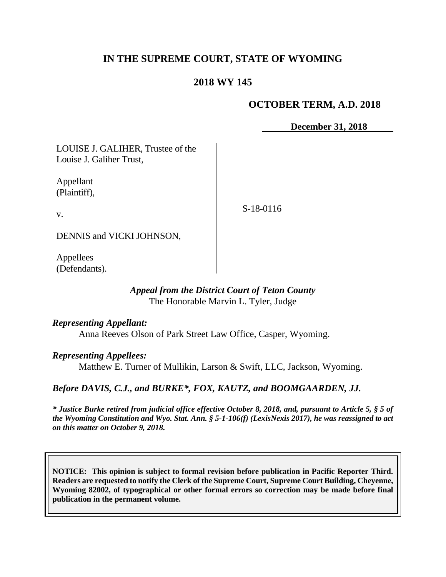# **IN THE SUPREME COURT, STATE OF WYOMING**

# **2018 WY 145**

## **OCTOBER TERM, A.D. 2018**

**December 31, 2018**

LOUISE J. GALIHER, Trustee of the Louise J. Galiher Trust,

Appellant (Plaintiff),

v.

S-18-0116

DENNIS and VICKI JOHNSON,

Appellees (Defendants).

#### *Appeal from the District Court of Teton County* The Honorable Marvin L. Tyler, Judge

*Representing Appellant:*

Anna Reeves Olson of Park Street Law Office, Casper, Wyoming.

*Representing Appellees:*

Matthew E. Turner of Mullikin, Larson & Swift, LLC, Jackson, Wyoming.

*Before DAVIS, C.J., and BURKE\*, FOX, KAUTZ, and BOOMGAARDEN, JJ.*

*\* Justice Burke retired from judicial office effective October 8, 2018, and, pursuant to Article 5, § 5 of the Wyoming Constitution and Wyo. Stat. Ann. § 5-1-106(f) (LexisNexis 2017), he was reassigned to act on this matter on October 9, 2018.*

**NOTICE: This opinion is subject to formal revision before publication in Pacific Reporter Third. Readers are requested to notify the Clerk of the Supreme Court, Supreme Court Building, Cheyenne, Wyoming 82002, of typographical or other formal errors so correction may be made before final publication in the permanent volume.**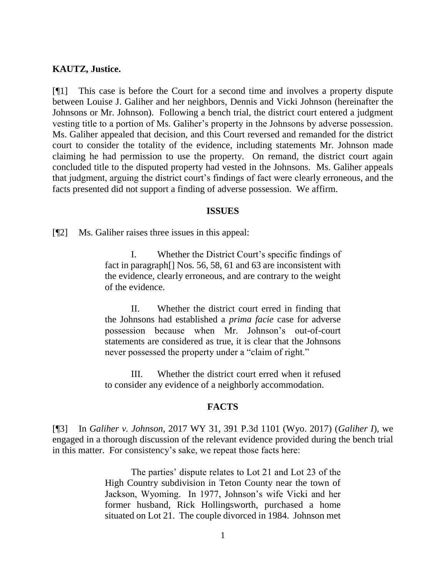#### **KAUTZ, Justice.**

[¶1] This case is before the Court for a second time and involves a property dispute between Louise J. Galiher and her neighbors, Dennis and Vicki Johnson (hereinafter the Johnsons or Mr. Johnson). Following a bench trial, the district court entered a judgment vesting title to a portion of Ms. Galiher's property in the Johnsons by adverse possession. Ms. Galiher appealed that decision, and this Court reversed and remanded for the district court to consider the totality of the evidence, including statements Mr. Johnson made claiming he had permission to use the property. On remand, the district court again concluded title to the disputed property had vested in the Johnsons. Ms. Galiher appeals that judgment, arguing the district court's findings of fact were clearly erroneous, and the facts presented did not support a finding of adverse possession. We affirm.

#### **ISSUES**

[¶2] Ms. Galiher raises three issues in this appeal:

I. Whether the District Court's specific findings of fact in paragraph[] Nos. 56, 58, 61 and 63 are inconsistent with the evidence, clearly erroneous, and are contrary to the weight of the evidence.

II. Whether the district court erred in finding that the Johnsons had established a *prima facie* case for adverse possession because when Mr. Johnson's out-of-court statements are considered as true, it is clear that the Johnsons never possessed the property under a "claim of right."

III. Whether the district court erred when it refused to consider any evidence of a neighborly accommodation.

#### **FACTS**

[¶3] In *Galiher v. Johnson*, 2017 WY 31, 391 P.3d 1101 (Wyo. 2017) (*Galiher I*), we engaged in a thorough discussion of the relevant evidence provided during the bench trial in this matter. For consistency's sake, we repeat those facts here:

> The parties' dispute relates to Lot 21 and Lot 23 of the High Country subdivision in Teton County near the town of Jackson, Wyoming. In 1977, Johnson's wife Vicki and her former husband, Rick Hollingsworth, purchased a home situated on Lot 21. The couple divorced in 1984. Johnson met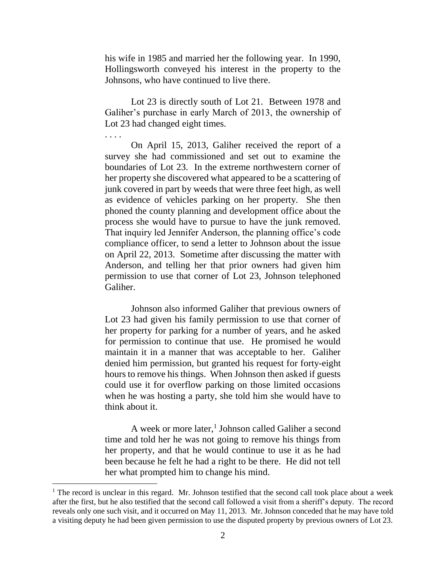his wife in 1985 and married her the following year. In 1990, Hollingsworth conveyed his interest in the property to the Johnsons, who have continued to live there.

Lot 23 is directly south of Lot 21. Between 1978 and Galiher's purchase in early March of 2013, the ownership of Lot 23 had changed eight times.

. . . .

On April 15, 2013, Galiher received the report of a survey she had commissioned and set out to examine the boundaries of Lot 23. In the extreme northwestern corner of her property she discovered what appeared to be a scattering of junk covered in part by weeds that were three feet high, as well as evidence of vehicles parking on her property. She then phoned the county planning and development office about the process she would have to pursue to have the junk removed. That inquiry led Jennifer Anderson, the planning office's code compliance officer, to send a letter to Johnson about the issue on April 22, 2013. Sometime after discussing the matter with Anderson, and telling her that prior owners had given him permission to use that corner of Lot 23, Johnson telephoned Galiher.

Johnson also informed Galiher that previous owners of Lot 23 had given his family permission to use that corner of her property for parking for a number of years, and he asked for permission to continue that use. He promised he would maintain it in a manner that was acceptable to her. Galiher denied him permission, but granted his request for forty-eight hours to remove his things. When Johnson then asked if guests could use it for overflow parking on those limited occasions when he was hosting a party, she told him she would have to think about it.

A week or more later,<sup>1</sup> Johnson called Galiher a second time and told her he was not going to remove his things from her property, and that he would continue to use it as he had been because he felt he had a right to be there. He did not tell her what prompted him to change his mind.

<sup>&</sup>lt;sup>1</sup> The record is unclear in this regard. Mr. Johnson testified that the second call took place about a week after the first, but he also testified that the second call followed a visit from a sheriff's deputy. The record reveals only one such visit, and it occurred on May 11, 2013. Mr. Johnson conceded that he may have told a visiting deputy he had been given permission to use the disputed property by previous owners of Lot 23.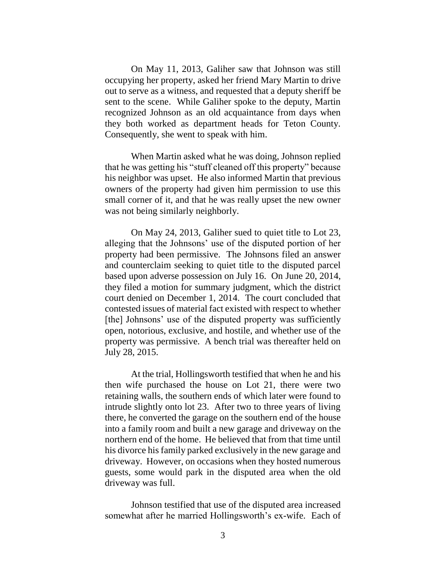On May 11, 2013, Galiher saw that Johnson was still occupying her property, asked her friend Mary Martin to drive out to serve as a witness, and requested that a deputy sheriff be sent to the scene. While Galiher spoke to the deputy, Martin recognized Johnson as an old acquaintance from days when they both worked as department heads for Teton County. Consequently, she went to speak with him.

When Martin asked what he was doing, Johnson replied that he was getting his "stuff cleaned off this property" because his neighbor was upset. He also informed Martin that previous owners of the property had given him permission to use this small corner of it, and that he was really upset the new owner was not being similarly neighborly.

On May 24, 2013, Galiher sued to quiet title to Lot 23, alleging that the Johnsons' use of the disputed portion of her property had been permissive. The Johnsons filed an answer and counterclaim seeking to quiet title to the disputed parcel based upon adverse possession on July 16. On June 20, 2014, they filed a motion for summary judgment, which the district court denied on December 1, 2014. The court concluded that contested issues of material fact existed with respect to whether [the] Johnsons' use of the disputed property was sufficiently open, notorious, exclusive, and hostile, and whether use of the property was permissive. A bench trial was thereafter held on July 28, 2015.

At the trial, Hollingsworth testified that when he and his then wife purchased the house on Lot 21, there were two retaining walls, the southern ends of which later were found to intrude slightly onto lot 23. After two to three years of living there, he converted the garage on the southern end of the house into a family room and built a new garage and driveway on the northern end of the home. He believed that from that time until his divorce his family parked exclusively in the new garage and driveway. However, on occasions when they hosted numerous guests, some would park in the disputed area when the old driveway was full.

Johnson testified that use of the disputed area increased somewhat after he married Hollingsworth's ex-wife. Each of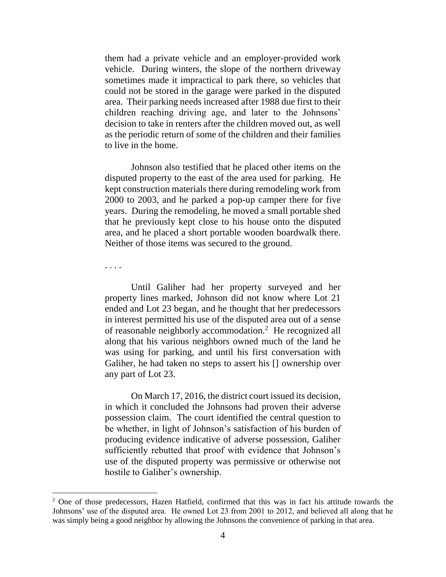them had a private vehicle and an employer-provided work vehicle. During winters, the slope of the northern driveway sometimes made it impractical to park there, so vehicles that could not be stored in the garage were parked in the disputed area. Their parking needs increased after 1988 due first to their children reaching driving age, and later to the Johnsons' decision to take in renters after the children moved out, as well as the periodic return of some of the children and their families to live in the home.

Johnson also testified that he placed other items on the disputed property to the east of the area used for parking. He kept construction materials there during remodeling work from 2000 to 2003, and he parked a pop-up camper there for five years. During the remodeling, he moved a small portable shed that he previously kept close to his house onto the disputed area, and he placed a short portable wooden boardwalk there. Neither of those items was secured to the ground.

. . . .

Until Galiher had her property surveyed and her property lines marked, Johnson did not know where Lot 21 ended and Lot 23 began, and he thought that her predecessors in interest permitted his use of the disputed area out of a sense of reasonable neighborly accommodation.<sup>2</sup> He recognized all along that his various neighbors owned much of the land he was using for parking, and until his first conversation with Galiher, he had taken no steps to assert his [] ownership over any part of Lot 23.

On March 17, 2016, the district court issued its decision, in which it concluded the Johnsons had proven their adverse possession claim. The court identified the central question to be whether, in light of Johnson's satisfaction of his burden of producing evidence indicative of adverse possession, Galiher sufficiently rebutted that proof with evidence that Johnson's use of the disputed property was permissive or otherwise not hostile to Galiher's ownership.

<sup>2</sup> One of those predecessors, Hazen Hatfield, confirmed that this was in fact his attitude towards the Johnsons' use of the disputed area. He owned Lot 23 from 2001 to 2012, and believed all along that he was simply being a good neighbor by allowing the Johnsons the convenience of parking in that area.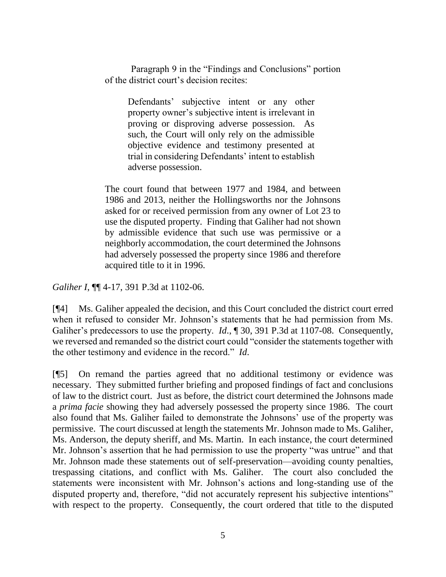Paragraph 9 in the "Findings and Conclusions" portion of the district court's decision recites:

Defendants' subjective intent or any other property owner's subjective intent is irrelevant in proving or disproving adverse possession. As such, the Court will only rely on the admissible objective evidence and testimony presented at trial in considering Defendants' intent to establish adverse possession.

The court found that between 1977 and 1984, and between 1986 and 2013, neither the Hollingsworths nor the Johnsons asked for or received permission from any owner of Lot 23 to use the disputed property. Finding that Galiher had not shown by admissible evidence that such use was permissive or a neighborly accommodation, the court determined the Johnsons had adversely possessed the property since 1986 and therefore acquired title to it in 1996.

*Galiher I*,  $\P$  4-17, 391 P.3d at 1102-06.

[¶4] Ms. Galiher appealed the decision, and this Court concluded the district court erred when it refused to consider Mr. Johnson's statements that he had permission from Ms. Galiher's predecessors to use the property. *Id.*, ¶ 30, 391 P.3d at 1107-08. Consequently, we reversed and remanded so the district court could "consider the statements together with the other testimony and evidence in the record." *Id*.

[¶5] On remand the parties agreed that no additional testimony or evidence was necessary. They submitted further briefing and proposed findings of fact and conclusions of law to the district court. Just as before, the district court determined the Johnsons made a *prima facie* showing they had adversely possessed the property since 1986. The court also found that Ms. Galiher failed to demonstrate the Johnsons' use of the property was permissive. The court discussed at length the statements Mr. Johnson made to Ms. Galiher, Ms. Anderson, the deputy sheriff, and Ms. Martin. In each instance, the court determined Mr. Johnson's assertion that he had permission to use the property "was untrue" and that Mr. Johnson made these statements out of self-preservation—avoiding county penalties, trespassing citations, and conflict with Ms. Galiher. The court also concluded the statements were inconsistent with Mr. Johnson's actions and long-standing use of the disputed property and, therefore, "did not accurately represent his subjective intentions" with respect to the property. Consequently, the court ordered that title to the disputed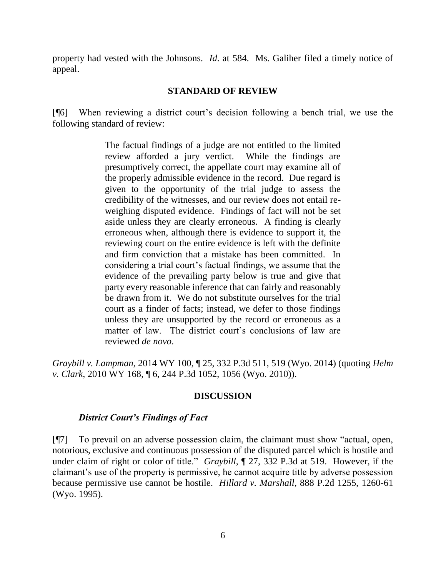property had vested with the Johnsons. *Id*. at 584. Ms. Galiher filed a timely notice of appeal.

## **STANDARD OF REVIEW**

[¶6] When reviewing a district court's decision following a bench trial, we use the following standard of review:

> The factual findings of a judge are not entitled to the limited review afforded a jury verdict. While the findings are presumptively correct, the appellate court may examine all of the properly admissible evidence in the record. Due regard is given to the opportunity of the trial judge to assess the credibility of the witnesses, and our review does not entail reweighing disputed evidence. Findings of fact will not be set aside unless they are clearly erroneous. A finding is clearly erroneous when, although there is evidence to support it, the reviewing court on the entire evidence is left with the definite and firm conviction that a mistake has been committed. In considering a trial court's factual findings, we assume that the evidence of the prevailing party below is true and give that party every reasonable inference that can fairly and reasonably be drawn from it. We do not substitute ourselves for the trial court as a finder of facts; instead, we defer to those findings unless they are unsupported by the record or erroneous as a matter of law. The district court's conclusions of law are reviewed *de novo*.

*Graybill v. Lampman*, 2014 WY 100, ¶ 25, 332 P.3d 511, 519 (Wyo. 2014) (quoting *Helm v. Clark*, 2010 WY 168, ¶ 6, 244 P.3d 1052, 1056 (Wyo. 2010)).

## **DISCUSSION**

#### *District Court's Findings of Fact*

[¶7] To prevail on an adverse possession claim, the claimant must show "actual, open, notorious, exclusive and continuous possession of the disputed parcel which is hostile and under claim of right or color of title." *Graybill*, ¶ 27, 332 P.3d at 519. However, if the claimant's use of the property is permissive, he cannot acquire title by adverse possession because permissive use cannot be hostile. *Hillard v. Marshall*, 888 P.2d 1255, 1260-61 (Wyo. 1995).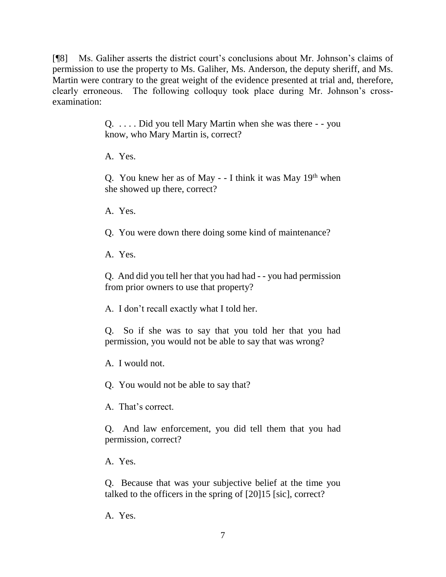[¶8] Ms. Galiher asserts the district court's conclusions about Mr. Johnson's claims of permission to use the property to Ms. Galiher, Ms. Anderson, the deputy sheriff, and Ms. Martin were contrary to the great weight of the evidence presented at trial and, therefore, clearly erroneous. The following colloquy took place during Mr. Johnson's crossexamination:

> Q. . . . . Did you tell Mary Martin when she was there - - you know, who Mary Martin is, correct?

A. Yes.

Q. You knew her as of May  $-1$  think it was May 19<sup>th</sup> when she showed up there, correct?

A. Yes.

Q. You were down there doing some kind of maintenance?

A. Yes.

Q. And did you tell her that you had had - - you had permission from prior owners to use that property?

A. I don't recall exactly what I told her.

Q. So if she was to say that you told her that you had permission, you would not be able to say that was wrong?

A. I would not.

Q. You would not be able to say that?

A. That's correct.

Q. And law enforcement, you did tell them that you had permission, correct?

A. Yes.

Q. Because that was your subjective belief at the time you talked to the officers in the spring of [20]15 [sic], correct?

A. Yes.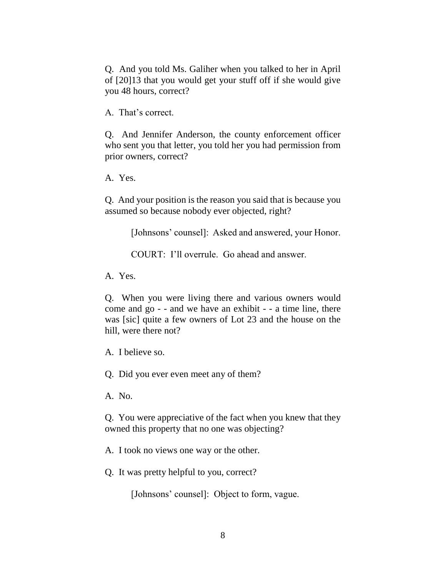Q. And you told Ms. Galiher when you talked to her in April of [20]13 that you would get your stuff off if she would give you 48 hours, correct?

A. That's correct.

Q. And Jennifer Anderson, the county enforcement officer who sent you that letter, you told her you had permission from prior owners, correct?

A. Yes.

Q. And your position is the reason you said that is because you assumed so because nobody ever objected, right?

[Johnsons' counsel]: Asked and answered, your Honor.

COURT: I'll overrule. Go ahead and answer.

A. Yes.

Q. When you were living there and various owners would come and go - - and we have an exhibit - - a time line, there was [sic] quite a few owners of Lot 23 and the house on the hill, were there not?

A. I believe so.

Q. Did you ever even meet any of them?

A. No.

Q. You were appreciative of the fact when you knew that they owned this property that no one was objecting?

A. I took no views one way or the other.

Q. It was pretty helpful to you, correct?

[Johnsons' counsel]: Object to form, vague.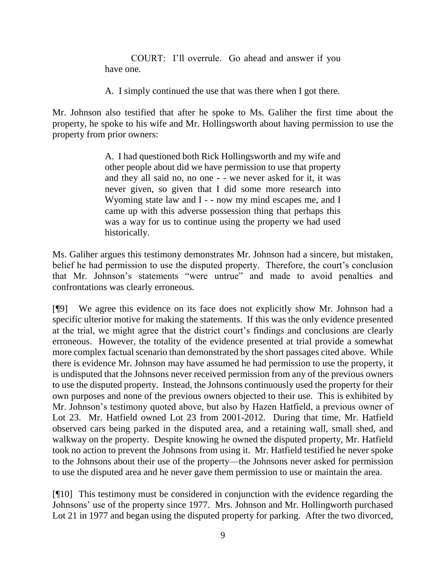COURT: I'll overrule. Go ahead and answer if you have one.

A. I simply continued the use that was there when I got there.

Mr. Johnson also testified that after he spoke to Ms. Galiher the first time about the property, he spoke to his wife and Mr. Hollingsworth about having permission to use the property from prior owners:

> A. I had questioned both Rick Hollingsworth and my wife and other people about did we have permission to use that property and they all said no, no one - - we never asked for it, it was never given, so given that I did some more research into Wyoming state law and I - - now my mind escapes me, and I came up with this adverse possession thing that perhaps this was a way for us to continue using the property we had used historically.

Ms. Galiher argues this testimony demonstrates Mr. Johnson had a sincere, but mistaken, belief he had permission to use the disputed property. Therefore, the court's conclusion that Mr. Johnson's statements "were untrue" and made to avoid penalties and confrontations was clearly erroneous.

[¶9] We agree this evidence on its face does not explicitly show Mr. Johnson had a specific ulterior motive for making the statements. If this was the only evidence presented at the trial, we might agree that the district court's findings and conclusions are clearly erroneous. However, the totality of the evidence presented at trial provide a somewhat more complex factual scenario than demonstrated by the short passages cited above. While there is evidence Mr. Johnson may have assumed he had permission to use the property, it is undisputed that the Johnsons never received permission from any of the previous owners to use the disputed property. Instead, the Johnsons continuously used the property for their own purposes and none of the previous owners objected to their use. This is exhibited by Mr. Johnson's testimony quoted above, but also by Hazen Hatfield, a previous owner of Lot 23. Mr. Hatfield owned Lot 23 from 2001-2012. During that time, Mr. Hatfield observed cars being parked in the disputed area, and a retaining wall, small shed, and walkway on the property. Despite knowing he owned the disputed property, Mr. Hatfield took no action to prevent the Johnsons from using it. Mr. Hatfield testified he never spoke to the Johnsons about their use of the property—the Johnsons never asked for permission to use the disputed area and he never gave them permission to use or maintain the area.

[¶10] This testimony must be considered in conjunction with the evidence regarding the Johnsons' use of the property since 1977. Mrs. Johnson and Mr. Hollingworth purchased Lot 21 in 1977 and began using the disputed property for parking. After the two divorced,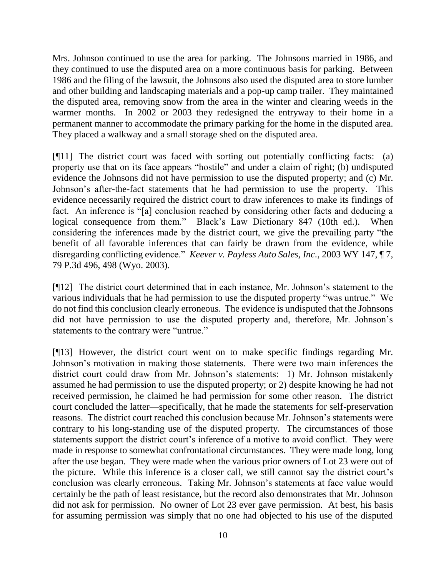Mrs. Johnson continued to use the area for parking. The Johnsons married in 1986, and they continued to use the disputed area on a more continuous basis for parking. Between 1986 and the filing of the lawsuit, the Johnsons also used the disputed area to store lumber and other building and landscaping materials and a pop-up camp trailer. They maintained the disputed area, removing snow from the area in the winter and clearing weeds in the warmer months. In 2002 or 2003 they redesigned the entryway to their home in a permanent manner to accommodate the primary parking for the home in the disputed area. They placed a walkway and a small storage shed on the disputed area.

[¶11] The district court was faced with sorting out potentially conflicting facts: (a) property use that on its face appears "hostile" and under a claim of right; (b) undisputed evidence the Johnsons did not have permission to use the disputed property; and (c) Mr. Johnson's after-the-fact statements that he had permission to use the property. This evidence necessarily required the district court to draw inferences to make its findings of fact. An inference is "[a] conclusion reached by considering other facts and deducing a logical consequence from them." Black's Law Dictionary 847 (10th ed.). When considering the inferences made by the district court, we give the prevailing party "the benefit of all favorable inferences that can fairly be drawn from the evidence, while disregarding conflicting evidence." *Keever v. Payless Auto Sales, Inc.*, 2003 WY 147, ¶ 7, 79 P.3d 496, 498 (Wyo. 2003).

[¶12] The district court determined that in each instance, Mr. Johnson's statement to the various individuals that he had permission to use the disputed property "was untrue." We do not find this conclusion clearly erroneous. The evidence is undisputed that the Johnsons did not have permission to use the disputed property and, therefore, Mr. Johnson's statements to the contrary were "untrue."

[¶13] However, the district court went on to make specific findings regarding Mr. Johnson's motivation in making those statements. There were two main inferences the district court could draw from Mr. Johnson's statements: 1) Mr. Johnson mistakenly assumed he had permission to use the disputed property; or 2) despite knowing he had not received permission, he claimed he had permission for some other reason. The district court concluded the latter—specifically, that he made the statements for self-preservation reasons. The district court reached this conclusion because Mr. Johnson's statements were contrary to his long-standing use of the disputed property. The circumstances of those statements support the district court's inference of a motive to avoid conflict. They were made in response to somewhat confrontational circumstances. They were made long, long after the use began. They were made when the various prior owners of Lot 23 were out of the picture. While this inference is a closer call, we still cannot say the district court's conclusion was clearly erroneous. Taking Mr. Johnson's statements at face value would certainly be the path of least resistance, but the record also demonstrates that Mr. Johnson did not ask for permission. No owner of Lot 23 ever gave permission. At best, his basis for assuming permission was simply that no one had objected to his use of the disputed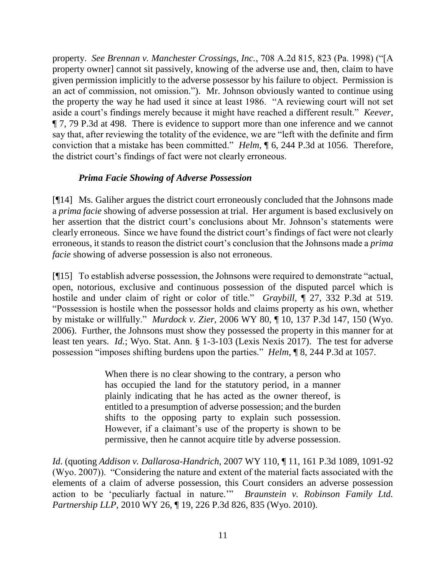property. *See Brennan v. Manchester Crossings, Inc.*, 708 A.2d 815, 823 (Pa. 1998) ("[A property owner] cannot sit passively, knowing of the adverse use and, then, claim to have given permission implicitly to the adverse possessor by his failure to object. Permission is an act of commission, not omission."). Mr. Johnson obviously wanted to continue using the property the way he had used it since at least 1986. "A reviewing court will not set aside a court's findings merely because it might have reached a different result." *Keever*, ¶ 7, 79 P.3d at 498. There is evidence to support more than one inference and we cannot say that, after reviewing the totality of the evidence, we are "left with the definite and firm conviction that a mistake has been committed." *Helm*, ¶ 6, 244 P.3d at 1056. Therefore, the district court's findings of fact were not clearly erroneous.

## *Prima Facie Showing of Adverse Possession*

[¶14] Ms. Galiher argues the district court erroneously concluded that the Johnsons made a *prima facie* showing of adverse possession at trial. Her argument is based exclusively on her assertion that the district court's conclusions about Mr. Johnson's statements were clearly erroneous. Since we have found the district court's findings of fact were not clearly erroneous, it stands to reason the district court's conclusion that the Johnsons made a *prima facie* showing of adverse possession is also not erroneous.

[¶15] To establish adverse possession, the Johnsons were required to demonstrate "actual, open, notorious, exclusive and continuous possession of the disputed parcel which is hostile and under claim of right or color of title." *Graybill*, ¶ 27, 332 P.3d at 519. "Possession is hostile when the possessor holds and claims property as his own, whether by mistake or willfully." *Murdock v. Zier*, 2006 WY 80, ¶ 10, 137 P.3d 147, 150 (Wyo. 2006). Further, the Johnsons must show they possessed the property in this manner for at least ten years. *Id.*; Wyo. Stat. Ann. § 1-3-103 (Lexis Nexis 2017). The test for adverse possession "imposes shifting burdens upon the parties." *Helm*, ¶ 8, 244 P.3d at 1057.

> When there is no clear showing to the contrary, a person who has occupied the land for the statutory period, in a manner plainly indicating that he has acted as the owner thereof, is entitled to a presumption of adverse possession; and the burden shifts to the opposing party to explain such possession. However, if a claimant's use of the property is shown to be permissive, then he cannot acquire title by adverse possession.

*Id*. (quoting *Addison v. Dallarosa-Handrich*, 2007 WY 110, ¶ 11, 161 P.3d 1089, 1091-92 (Wyo. 2007)). "Considering the nature and extent of the material facts associated with the elements of a claim of adverse possession, this Court considers an adverse possession action to be 'peculiarly factual in nature.'" *Braunstein v. Robinson Family Ltd. Partnership LLP*, 2010 WY 26, ¶ 19, 226 P.3d 826, 835 (Wyo. 2010).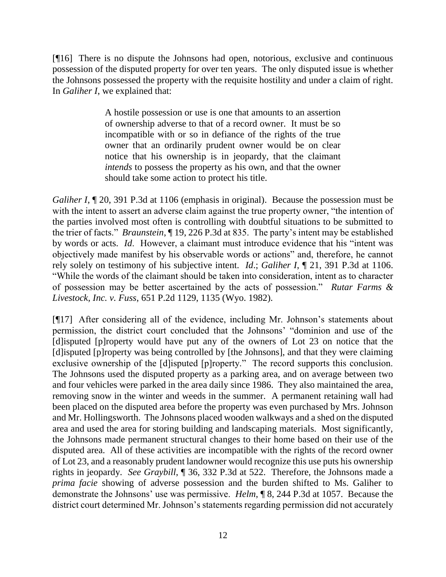[¶16] There is no dispute the Johnsons had open, notorious, exclusive and continuous possession of the disputed property for over ten years. The only disputed issue is whether the Johnsons possessed the property with the requisite hostility and under a claim of right. In *Galiher I*, we explained that:

> A hostile possession or use is one that amounts to an assertion of ownership adverse to that of a record owner. It must be so incompatible with or so in defiance of the rights of the true owner that an ordinarily prudent owner would be on clear notice that his ownership is in jeopardy, that the claimant *intends* to possess the property as his own, and that the owner should take some action to protect his title.

*Galiher I*,  $\P$  20, 391 P.3d at 1106 (emphasis in original). Because the possession must be with the intent to assert an adverse claim against the true property owner, "the intention of the parties involved most often is controlling with doubtful situations to be submitted to the trier of facts." *Braunstein*, ¶ 19, 226 P.3d at 835. The party's intent may be established by words or acts. *Id*. However, a claimant must introduce evidence that his "intent was objectively made manifest by his observable words or actions" and, therefore, he cannot rely solely on testimony of his subjective intent. *Id*.; *Galiher I*, ¶ 21, 391 P.3d at 1106. "While the words of the claimant should be taken into consideration, intent as to character of possession may be better ascertained by the acts of possession." *Rutar Farms & Livestock, Inc. v. Fuss*, 651 P.2d 1129, 1135 (Wyo. 1982).

[¶17] After considering all of the evidence, including Mr. Johnson's statements about permission, the district court concluded that the Johnsons' "dominion and use of the [d]isputed [p]roperty would have put any of the owners of Lot 23 on notice that the [d]isputed [p]roperty was being controlled by [the Johnsons], and that they were claiming exclusive ownership of the [d]isputed [p]roperty." The record supports this conclusion. The Johnsons used the disputed property as a parking area, and on average between two and four vehicles were parked in the area daily since 1986. They also maintained the area, removing snow in the winter and weeds in the summer. A permanent retaining wall had been placed on the disputed area before the property was even purchased by Mrs. Johnson and Mr. Hollingsworth. The Johnsons placed wooden walkways and a shed on the disputed area and used the area for storing building and landscaping materials. Most significantly, the Johnsons made permanent structural changes to their home based on their use of the disputed area. All of these activities are incompatible with the rights of the record owner of Lot 23, and a reasonably prudent landowner would recognize this use puts his ownership rights in jeopardy. *See Graybill*, ¶ 36, 332 P.3d at 522. Therefore, the Johnsons made a *prima facie* showing of adverse possession and the burden shifted to Ms. Galiher to demonstrate the Johnsons' use was permissive. *Helm*, ¶ 8, 244 P.3d at 1057. Because the district court determined Mr. Johnson's statements regarding permission did not accurately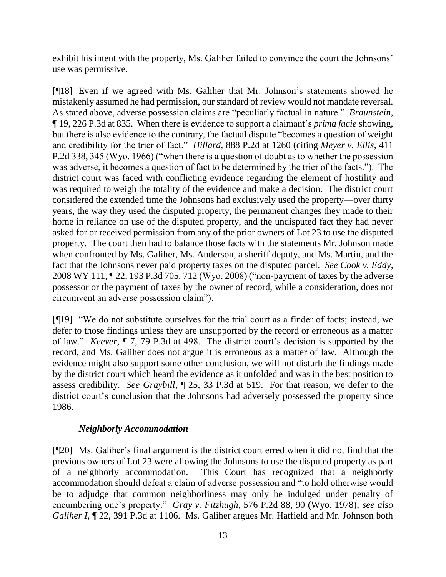exhibit his intent with the property, Ms. Galiher failed to convince the court the Johnsons' use was permissive.

[¶18] Even if we agreed with Ms. Galiher that Mr. Johnson's statements showed he mistakenly assumed he had permission, our standard of review would not mandate reversal. As stated above, adverse possession claims are "peculiarly factual in nature." *Braunstein*, ¶ 19, 226 P.3d at 835. When there is evidence to support a claimant's *prima facie* showing, but there is also evidence to the contrary, the factual dispute "becomes a question of weight and credibility for the trier of fact." *Hillard*, 888 P.2d at 1260 (citing *Meyer v. Ellis*, 411 P.2d 338, 345 (Wyo. 1966) ("when there is a question of doubt as to whether the possession was adverse, it becomes a question of fact to be determined by the trier of the facts."). The district court was faced with conflicting evidence regarding the element of hostility and was required to weigh the totality of the evidence and make a decision. The district court considered the extended time the Johnsons had exclusively used the property—over thirty years, the way they used the disputed property, the permanent changes they made to their home in reliance on use of the disputed property, and the undisputed fact they had never asked for or received permission from any of the prior owners of Lot 23 to use the disputed property. The court then had to balance those facts with the statements Mr. Johnson made when confronted by Ms. Galiher, Ms. Anderson, a sheriff deputy, and Ms. Martin, and the fact that the Johnsons never paid property taxes on the disputed parcel. *See Cook v. Eddy*, 2008 WY 111, ¶ 22, 193 P.3d 705, 712 (Wyo. 2008) ("non-payment of taxes by the adverse possessor or the payment of taxes by the owner of record, while a consideration, does not circumvent an adverse possession claim").

[¶19] "We do not substitute ourselves for the trial court as a finder of facts; instead, we defer to those findings unless they are unsupported by the record or erroneous as a matter of law." *Keever*, ¶ 7, 79 P.3d at 498. The district court's decision is supported by the record, and Ms. Galiher does not argue it is erroneous as a matter of law. Although the evidence might also support some other conclusion, we will not disturb the findings made by the district court which heard the evidence as it unfolded and was in the best position to assess credibility. *See Graybill*, ¶ 25, 33 P.3d at 519. For that reason, we defer to the district court's conclusion that the Johnsons had adversely possessed the property since 1986.

## *Neighborly Accommodation*

[¶20] Ms. Galiher's final argument is the district court erred when it did not find that the previous owners of Lot 23 were allowing the Johnsons to use the disputed property as part of a neighborly accommodation. This Court has recognized that a neighborly accommodation should defeat a claim of adverse possession and "to hold otherwise would be to adjudge that common neighborliness may only be indulged under penalty of encumbering one's property." *Gray v. Fitzhugh*, 576 P.2d 88, 90 (Wyo. 1978); *see also Galiher I*,  $\P$  22, 391 P.3d at 1106. Ms. Galiher argues Mr. Hatfield and Mr. Johnson both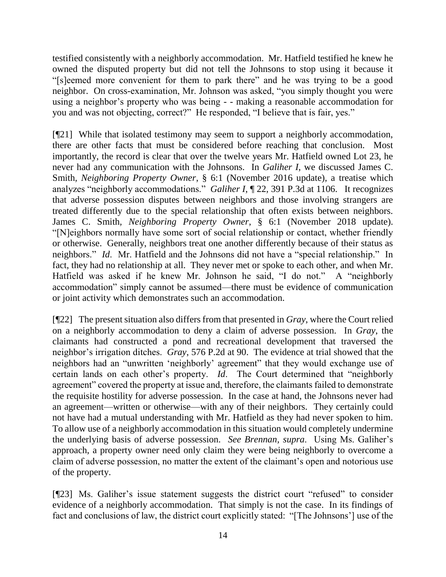testified consistently with a neighborly accommodation. Mr. Hatfield testified he knew he owned the disputed property but did not tell the Johnsons to stop using it because it "[s]eemed more convenient for them to park there" and he was trying to be a good neighbor. On cross-examination, Mr. Johnson was asked, "you simply thought you were using a neighbor's property who was being - - making a reasonable accommodation for you and was not objecting, correct?" He responded, "I believe that is fair, yes."

[¶21] While that isolated testimony may seem to support a neighborly accommodation, there are other facts that must be considered before reaching that conclusion. Most importantly, the record is clear that over the twelve years Mr. Hatfield owned Lot 23, he never had any communication with the Johnsons. In *Galiher I*, we discussed James C. Smith*, Neighboring Property Owner*, § 6:1 (November 2016 update), a treatise which analyzes "neighborly accommodations." *Galiher I*,  $\sqrt{22}$ , 391 P.3d at 1106. It recognizes that adverse possession disputes between neighbors and those involving strangers are treated differently due to the special relationship that often exists between neighbors. James C. Smith*, Neighboring Property Owner*, § 6:1 (November 2018 update). "[N]eighbors normally have some sort of social relationship or contact, whether friendly or otherwise. Generally, neighbors treat one another differently because of their status as neighbors." *Id*. Mr. Hatfield and the Johnsons did not have a "special relationship." In fact, they had no relationship at all. They never met or spoke to each other, and when Mr. Hatfield was asked if he knew Mr. Johnson he said, "I do not." A "neighborly accommodation" simply cannot be assumed—there must be evidence of communication or joint activity which demonstrates such an accommodation.

[¶22] The present situation also differs from that presented in *Gray*, where the Court relied on a neighborly accommodation to deny a claim of adverse possession. In *Gray*, the claimants had constructed a pond and recreational development that traversed the neighbor's irrigation ditches. *Gray*, 576 P.2d at 90. The evidence at trial showed that the neighbors had an "unwritten 'neighborly' agreement" that they would exchange use of certain lands on each other's property. *Id*. The Court determined that "neighborly agreement" covered the property at issue and, therefore, the claimants failed to demonstrate the requisite hostility for adverse possession. In the case at hand, the Johnsons never had an agreement—written or otherwise—with any of their neighbors. They certainly could not have had a mutual understanding with Mr. Hatfield as they had never spoken to him. To allow use of a neighborly accommodation in this situation would completely undermine the underlying basis of adverse possession. *See Brennan, supra*. Using Ms. Galiher's approach, a property owner need only claim they were being neighborly to overcome a claim of adverse possession, no matter the extent of the claimant's open and notorious use of the property.

[¶23] Ms. Galiher's issue statement suggests the district court "refused" to consider evidence of a neighborly accommodation. That simply is not the case. In its findings of fact and conclusions of law, the district court explicitly stated: "[The Johnsons'] use of the